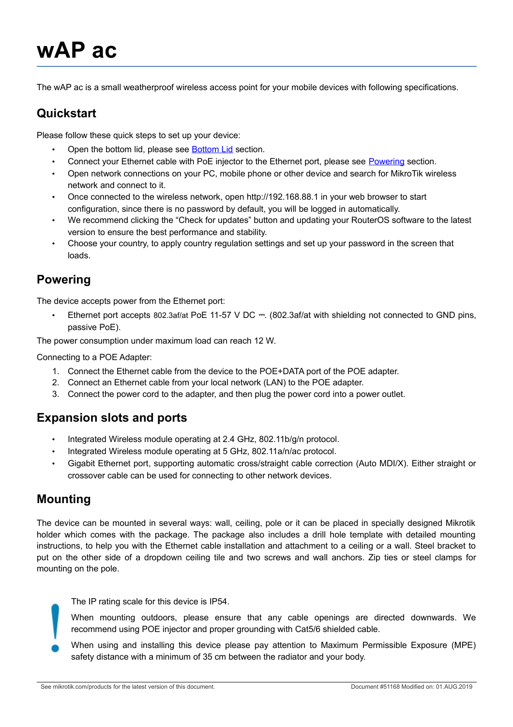# **wAP ac**

The wAP ac is a small weatherproof wireless access point for your mobile devices with following specifications.

# **Quickstart**

Please follow these quick steps to set up your device:

- Open the bottom lid, please see [Bottom Lid](#page-3-0) section.
- Connect your Ethernet cable with PoE injector to the Ethernet port, please see [Powering](#page-0-0) section.
- Open network connections on your PC, mobile phone or other device and search for MikroTik wireless network and connect to it.
- Once connected to the wireless network, open http://192.168.88.1 in your web browser to start configuration, since there is no password by default, you will be logged in automatically.
- We recommend clicking the "Check for updates" button and updating your RouterOS software to the latest version to ensure the best performance and stability.
- Choose your country, to apply country regulation settings and set up your password in the screen that loads.

## <span id="page-0-0"></span>**Powering**

The device accepts power from the Ethernet port:

• Ethernet port accepts 802.3af/at PoE 11-57 V DC = (802.3af/at with shielding not connected to GND pins, passive PoE).

The power consumption under maximum load can reach 12 W.

Connecting to a POE Adapter:

- 1. Connect the Ethernet cable from the device to the POE+DATA port of the POE adapter.
- 2. Connect an Ethernet cable from your local network (LAN) to the POE adapter.
- 3. Connect the power cord to the adapter, and then plug the power cord into a power outlet.

# **Expansion slots and ports**

- Integrated Wireless module operating at 2.4 GHz, 802.11b/g/n protocol.
- Integrated Wireless module operating at 5 GHz, 802.11a/n/ac protocol.
- Gigabit Ethernet port, supporting automatic cross/straight cable correction (Auto MDI/X). Either straight or crossover cable can be used for connecting to other network devices.

### **Mounting**

The device can be mounted in several ways: wall, ceiling, pole or it can be placed in specially designed Mikrotik holder which comes with the package. The package also includes a drill hole template with detailed mounting instructions, to help you with the Ethernet cable installation and attachment to a ceiling or a wall. Steel bracket to put on the other side of a dropdown ceiling tile and two screws and wall anchors. Zip ties or steel clamps for mounting on the pole.

The IP rating scale for this device is IP54.

When mounting outdoors, please ensure that any cable openings are directed downwards. We recommend using POE injector and proper grounding with Cat5/6 shielded cable.

When using and installing this device please pay attention to Maximum Permissible Exposure (MPE) safety distance with a minimum of 35 cm between the radiator and your body.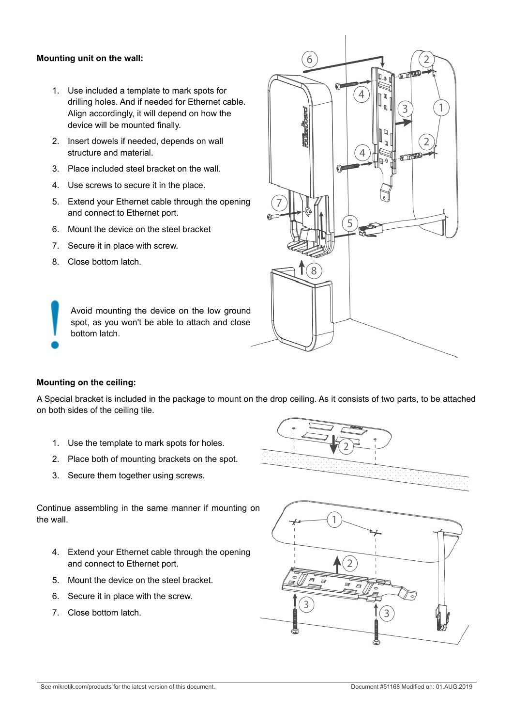#### **Mounting unit on the wall:**

- 1. Use included a template to mark spots for drilling holes. And if needed for Ethernet cable. Align accordingly, it will depend on how the device will be mounted finally.
- 2. Insert dowels if needed, depends on wall structure and material.
- 3. Place included steel bracket on the wall.
- 4. Use screws to secure it in the place.
- 5. Extend your Ethernet cable through the opening and connect to Ethernet port.
- 6. Mount the device on the steel bracket
- 7. Secure it in place with screw.
- 8. Close bottom latch.

Avoid mounting the device on the low ground spot, as you won't be able to attach and close bottom latch.



### **Mounting on the ceiling:**

A Special bracket is included in the package to mount on the drop ceiling. As it consists of two parts, to be attached on both sides of the ceiling tile.

- 1. Use the template to mark spots for holes.
- 2. Place both of mounting brackets on the spot.
- 3. Secure them together using screws.



Continue assembling in the same manner if mounting on the wall.

- 4. Extend your Ethernet cable through the opening and connect to Ethernet port.
- 5. Mount the device on the steel bracket.
- 6. Secure it in place with the screw.
- 7. Close bottom latch.

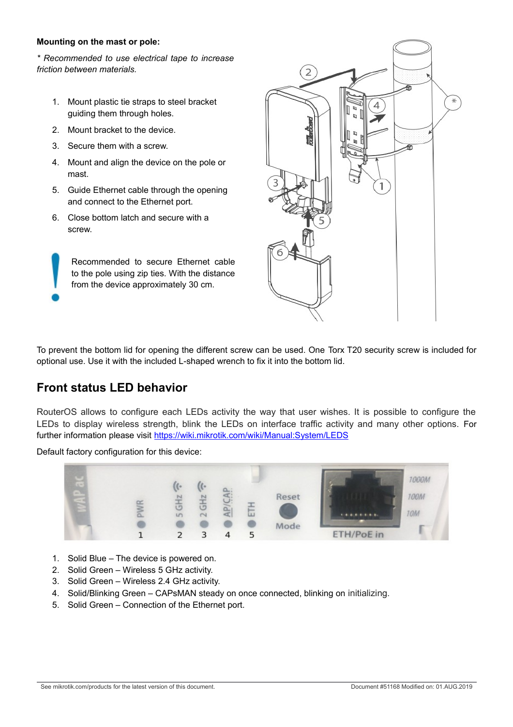### **Mounting on the mast or pole:**

*\* Recommended to use electrical tape to increase friction between materials.*

- 1. Mount plastic tie straps to steel bracket guiding them through holes.
- 2. Mount bracket to the device.
- 3. Secure them with a screw.
- 4. Mount and align the device on the pole or mast.
- 5. Guide Ethernet cable through the opening and connect to the Ethernet port.
- 6. Close bottom latch and secure with a screw.

Recommended to secure Ethernet cable to the pole using zip ties. With the distance from the device approximately 30 cm.



To prevent the bottom lid for opening the different screw can be used. One Torx T20 security screw is included for optional use. Use it with the included L-shaped wrench to fix it into the bottom lid.

# **Front status LED behavior**

RouterOS allows to configure each LEDs activity the way that user wishes. It is possible to configure the LEDs to display wireless strength, blink the LEDs on interface traffic activity and many other options. For further information please visit<https://wiki.mikrotik.com/wiki/Manual:System/LEDS>

Default factory configuration for this device:



- 1. Solid Blue The device is powered on.
- 2. Solid Green Wireless 5 GHz activity.
- 3. Solid Green Wireless 2.4 GHz activity.
- 4. Solid/Blinking Green CAPsMAN steady on once connected, blinking on initializing.
- 5. Solid Green Connection of the Ethernet port.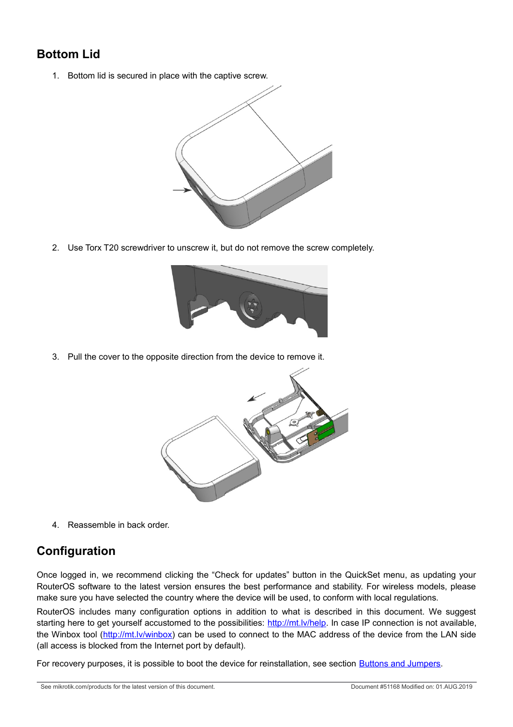# <span id="page-3-0"></span>**Bottom Lid**

1. Bottom lid is secured in place with the captive screw.



2. Use Torx T20 screwdriver to unscrew it, but do not remove the screw completely.



3. Pull the cover to the opposite direction from the device to remove it.



4. Reassemble in back order.

# **Configuration**

Once logged in, we recommend clicking the "Check for updates" button in the QuickSet menu, as updating your RouterOS software to the latest version ensures the best performance and stability. For wireless models, please make sure you have selected the country where the device will be used, to conform with local regulations.

RouterOS includes many configuration options in addition to what is described in this document. We suggest starting here to get yourself accustomed to the possibilities: [http://mt.lv/help.](http://mt.lv/help) In case IP connection is not available, the Winbox tool [\(http://mt.lv/winbox\)](http://mt.lv/winbox) can be used to connect to the MAC address of the device from the LAN side (all access is blocked from the Internet port by default).

<span id="page-3-1"></span>For recovery purposes, it is possible to boot the device for reinstallation, see section **Buttons and Jumpers**.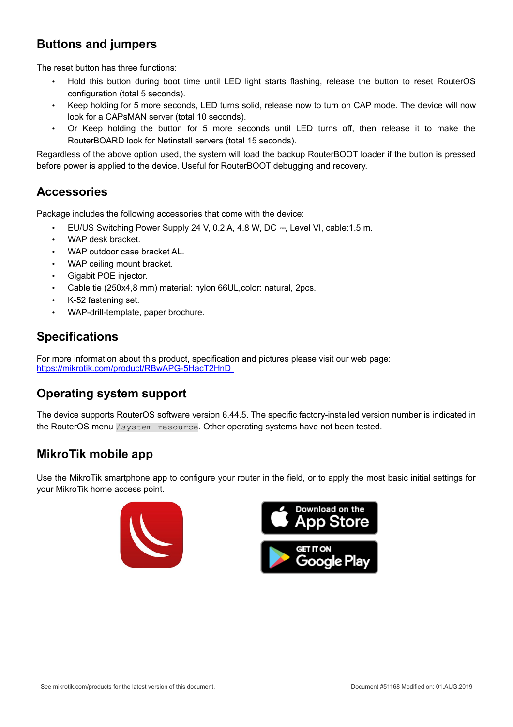# **Buttons and jumpers**

The reset button has three functions:

- Hold this button during boot time until LED light starts flashing, release the button to reset RouterOS configuration (total 5 seconds).
- Keep holding for 5 more seconds, LED turns solid, release now to turn on CAP mode. The device will now look for a CAPsMAN server (total 10 seconds).
- Or Keep holding the button for 5 more seconds until LED turns off, then release it to make the RouterBOARD look for Netinstall servers (total 15 seconds).

Regardless of the above option used, the system will load the backup RouterBOOT loader if the button is pressed before power is applied to the device. Useful for RouterBOOT debugging and recovery.

### **Accessories**

Package includes the following accessories that come with the device:

- EU/US Switching Power Supply 24 V, 0.2 A, 4.8 W, DC ⎓, Level VI, cable:1.5 m.
- WAP desk bracket.
- WAP outdoor case bracket AL.
- WAP ceiling mount bracket.
- Gigabit POE injector.
- Cable tie (250x4,8 mm) material: nylon 66UL,color: natural, 2pcs.
- K-52 fastening set.
- WAP-drill-template, paper brochure.

### **Specifications**

For more information about this product, specification and pictures please visit our web page: <https://mikrotik.com/product/RBwAPG-5HacT2HnD>

### **Operating system support**

The device supports RouterOS software version 6.44.5. The specific factory-installed version number is indicated in the RouterOS menu /system resource. Other operating systems have not been tested.

# **MikroTik mobile app**

Use the MikroTik smartphone app to configure your router in the field, or to apply the most basic initial settings for your MikroTik home access point.



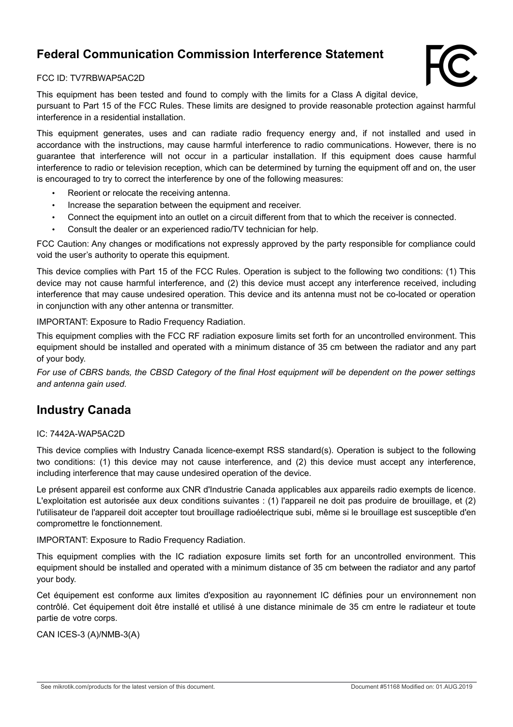# **Federal Communication Commission Interference Statement**



### FCC ID: TV7RBWAP5AC2D

This equipment has been tested and found to comply with the limits for a Class A digital device, pursuant to Part 15 of the FCC Rules. These limits are designed to provide reasonable protection against harmful interference in a residential installation.

This equipment generates, uses and can radiate radio frequency energy and, if not installed and used in accordance with the instructions, may cause harmful interference to radio communications. However, there is no guarantee that interference will not occur in a particular installation. If this equipment does cause harmful interference to radio or television reception, which can be determined by turning the equipment off and on, the user is encouraged to try to correct the interference by one of the following measures:

- Reorient or relocate the receiving antenna.
- Increase the separation between the equipment and receiver.
- Connect the equipment into an outlet on a circuit different from that to which the receiver is connected.
- Consult the dealer or an experienced radio/TV technician for help.

FCC Caution: Any changes or modifications not expressly approved by the party responsible for compliance could void the user's authority to operate this equipment.

This device complies with Part 15 of the FCC Rules. Operation is subject to the following two conditions: (1) This device may not cause harmful interference, and (2) this device must accept any interference received, including interference that may cause undesired operation. This device and its antenna must not be co-located or operation in conjunction with any other antenna or transmitter.

IMPORTANT: Exposure to Radio Frequency Radiation.

This equipment complies with the FCC RF radiation exposure limits set forth for an uncontrolled environment. This equipment should be installed and operated with a minimum distance of 35 cm between the radiator and any part of your body.

*For use of CBRS bands, the CBSD Category of the final Host equipment will be dependent on the power settings and antenna gain used.* 

### **Industry Canada**

### IC: 7442A-WAP5AC2D

This device complies with Industry Canada licence-exempt RSS standard(s). Operation is subject to the following two conditions: (1) this device may not cause interference, and (2) this device must accept any interference, including interference that may cause undesired operation of the device.

Le présent appareil est conforme aux CNR d'Industrie Canada applicables aux appareils radio exempts de licence. L'exploitation est autorisée aux deux conditions suivantes : (1) l'appareil ne doit pas produire de brouillage, et (2) l'utilisateur de l'appareil doit accepter tout brouillage radioélectrique subi, même si le brouillage est susceptible d'en compromettre le fonctionnement.

IMPORTANT: Exposure to Radio Frequency Radiation.

This equipment complies with the IC radiation exposure limits set forth for an uncontrolled environment. This equipment should be installed and operated with a minimum distance of 35 cm between the radiator and any partof your body.

Cet équipement est conforme aux limites d'exposition au rayonnement IC définies pour un environnement non contrôlé. Cet équipement doit être installé et utilisé à une distance minimale de 35 cm entre le radiateur et toute partie de votre corps.

CAN ICES-3 (A)/NMB-3(A)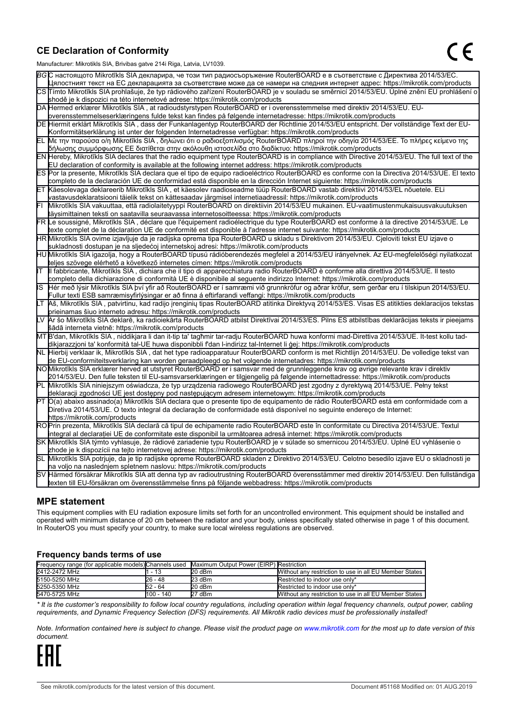### **CE Declaration of Conformity**

Manufacturer: Mikrotikls SIA, Brivibas gatve 214i Riga, Latvia, LV1039.

|    | ividiTulacturer. Mintounis OIA, Difvidas gatve Z 141 inga, Latvia, Lv 1009.                                                                     |
|----|-------------------------------------------------------------------------------------------------------------------------------------------------|
|    | ВСС настоящото Mikrotīkls SIA декларира, че този тип радиосъоръжение RouterBOARD е в съответствие с Директива 2014/53/ЕС.                       |
|    | Цялостният текст на EC декларацията за съответствие може да се намери на следния интернет адрес: https://mikrotik.com/products                  |
|    | CS∏ímto Mikrotīkls SIA prohlašuje, že typ rádiového zařízení RouterBOARD je v souladu se směrnicí 2014/53/EU. Úplné znění EU prohlášení o       |
|    | shodě je k dispozici na této internetové adrese: https://mikrotik.com/products                                                                  |
|    | DA Hermed erklærer Mikrotīkls SIA, at radioudstyrstypen RouterBOARD er i overensstemmelse med direktiv 2014/53/EU. EU-                          |
|    | overensstemmelseserklæringens fulde tekst kan findes på følgende internetadresse: https://mikrotik.com/products                                 |
|    | DE Hiermit erklärt Mikrotīkls SIA, dass der Funkanlagentyp RouterBOARD der Richtlinie 2014/53/EU entspricht. Der vollständige Text der EU-      |
|    | Konformitätserklärung ist unter der folgenden Internetadresse verfügbar: https://mikrotik.com/products                                          |
| ΈL | Με την παρούσα ο/η Mikrotīkls SIA , δηλώνει ότι ο ραδιοεξοπλισμός RouterBOARD πληροί την οδηγία 2014/53/ΕΕ. Το πλήρες κείμενο της               |
|    | δήλωσης συμμόρφωσης ΕΕ διατίθεται στην ακόλουθη ιστοσελίδα στο διαδίκτυο: https://mikrotik.com/products                                         |
|    | EN Hereby, Mikrotīkls SIA declares that the radio equipment type RouterBOARD is in compliance with Directive 2014/53/EU. The full text of the   |
|    | EU declaration of conformity is available at the following internet address: https://mikrotik.com/products                                      |
|    | ES Por la presente, Mikrotīkls SIA declara que el tipo de equipo radioeléctrico RouterBOARD es conforme con la Directiva 2014/53/UE. El texto   |
|    | completo de la declaración UE de conformidad está disponible en la dirección Internet siguiente: https://mikrotik.com/products                  |
|    | ∣ET ∣Käesolevaga deklareerib Mikrotīkls SIA , et käesolev raadioseadme tüüp RouterBOARD vastab direktiivi 2014/53/EL nõuetele. ELi              |
|    | vastavusdeklaratsiooni täielik tekst on kättesaadav järgmisel internetiaadressil: https://mikrotik.com/products                                 |
|    | Mikrotīkls SIA vakuuttaa, että radiolaitetyyppi RouterBOARD on direktiivin 2014/53/EU mukainen. EU-vaatimustenmukaisuusvakuutuksen              |
|    | täysimittainen teksti on saatavilla seuraavassa internetosoitteessa: https://mikrotik.com/products                                              |
|    | FR Le soussigné, Mikrotīkls SIA , déclare que l'équipement radioélectrique du type RouterBOARD est conforme à la directive 2014/53/UE. Le       |
|    | texte complet de la déclaration UE de conformité est disponible à l'adresse internet suivante: https://mikrotik.com/products                    |
|    | HR∭likrotīkls SIA ovime izjavljuje da je radijska oprema tipa RouterBOARD u skladu s Direktivom 2014/53/EU. Cjeloviti tekst EU izjave o         |
|    | sukladnosti dostupan je na sljedećoj internetskoj adresi: https://mikrotik.com/products                                                         |
|    | HU Mikrotīkls SIA igazolja, hogy a RouterBOARD típusú rádióberendezés megfelel a 2014/53/EU irányelvnek. Az EU-megfelelőségi nyilatkozat        |
|    | teljes szövege elérhető a következő internetes címen: https://mikrotik.com/products                                                             |
| lΤ | Il fabbricante, Mikrotīkls SIA, dichiara che il tipo di apparecchiatura radio RouterBOARD è conforme alla direttiva 2014/53/UE. Il testo        |
|    | completo della dichiarazione di conformità UE è disponibile al seguente indirizzo Internet: https://mikrotik.com/products                       |
| IS | Hér með lýsir Mikrotīkls SIA því yfir að RouterBOARD er í samræmi við grunnkröfur og aðrar kröfur, sem gerðar eru í tilskipun 2014/53/EU.       |
|    | Fullur texti ESB samræmisyfirlýsingar er að finna á eftirfarandi veffangi: https://mikrotik.com/products                                        |
| LТ | Aš, Mikrotīkls SIA, patvirtinu, kad radijo įrenginių tipas RouterBOARD atitinka Direktyvą 2014/53/ES. Visas ES atitikties deklaracijos tekstas  |
|    | prieinamas šiuo interneto adresu: https://mikrotik.com/products                                                                                 |
|    | Ar šo Mikrotīkls SIA deklarē, ka radioiekārta RouterBOARD atbilst Direktīvai 2014/53/ES. Pilns ES atbilstības deklarācijas teksts ir pieejams   |
|    | šādā interneta vietnē: https://mikrotik.com/products                                                                                            |
|    | MT B'dan, Mikrotīkls SIA, niddikjara li dan it-tip ta' tagħmir tar-radju RouterBOARD huwa konformi mad-Direttiva 2014/53/UE. It-test kollu tad- |
|    | dikjarazzjoni ta' konformità tal-UE huwa disponibbli f'dan l-indirizz tal-Internet li ġej: https://mikrotik.com/products                        |
|    | NL  Hierbij verklaar ik, Mikrotīkls SIA , dat het type radioapparatuur RouterBOARD conform is met Richtlijn 2014/53/EU. De volledige tekst van  |
|    | de EU-conformiteitsverklaring kan worden geraadpleegd op het volgende internetadres: https://mikrotik.com/products                              |
|    | NOMikrotīkls SIA erklærer herved at utstyret RouterBOARD er i samsvar med de grunnleggende krav og øvrige relevante krav i direktiv             |
|    | 2014/53/EU. Den fulle teksten til EU-samsvarserklæringen er tilgjengelig på følgende internettadresse: https://mikrotik.com/products            |
|    | PL Mikrotīkls SIA niniejszym oświadcza, że typ urządzenia radiowego RouterBOARD jest zgodny z dyrektywą 2014/53/UE. Pełny tekst                 |
|    | deklaracji zgodności UE jest dostępny pod następującym adresem internetowym: https://mikrotik.com/products                                      |
|    | PT O(a) abaixo assinado(a) Mikrotīkls SIA declara que o presente tipo de equipamento de rádio RouterBOARD está em conformidade com a            |
|    | Diretiva 2014/53/UE. O texto integral da declaração de conformidade está disponível no seguinte endereço de Internet:                           |
|    | https://mikrotik.com/products                                                                                                                   |
|    | ROPrin prezenta, Mikrotīkls SIA declară că tipul de echipamente radio RouterBOARD este în conformitate cu Directiva 2014/53/UE. Textul          |
|    | integral al declaratiei UE de conformitate este disponibil la următoarea adresă internet: https://mikrotik.com/products                         |
|    | SK Mikrotīkls SIA týmto vyhlasuje, že rádiové zariadenie typu RouterBOARD je v súlade so smernicou 2014/53/EÚ. Úplné EÚ vyhlásenie o            |
|    | zhode je k dispozícii na tejto internetovej adrese: https://mikrotik.com/products                                                               |
|    | SL Mikrotīkls SIA potrjuje, da je tip radijske opreme RouterBOARD skladen z Direktivo 2014/53/EU. Celotno besedilo izjave EU o skladnosti je    |
|    | na voljo na naslednjem spletnem naslovu: https://mikrotik.com/products                                                                          |
|    | SV Härmed försäkrar Mikrotīkls SIA att denna typ av radioutrustning RouterBOARD överensstämmer med direktiv 2014/53/EU. Den fullständiga        |
|    | texten till EU-försäkran om överensstämmelse finns på följande webbadress: https://mikrotik.com/products                                        |

### **MPE statement**

This equipment complies with EU radiation exposure limits set forth for an uncontrolled environment. This equipment should be installed and operated with minimum distance of 20 cm between the radiator and your body, unless specifically stated otherwise in page 1 of this document. In RouterOS you must specify your country, to make sure local wireless regulations are observed.

#### **Frequency bands terms of use**

| Frequency range (for applicable models) Channels used Maximum Output Power (EIRP) Restriction |            |        |                                                        |  |  |
|-----------------------------------------------------------------------------------------------|------------|--------|--------------------------------------------------------|--|--|
| 2412-2472 MHz                                                                                 | - 13       | 20 dBm | Without any restriction to use in all EU Member States |  |  |
| 5150-5250 MHz                                                                                 | 26 - 48    | 23 dBm | Restricted to indoor use only*                         |  |  |
| 5250-5350 MHz                                                                                 | 52 - 64    | 20 dBm | Restricted to indoor use only*                         |  |  |
| 5470-5725 MHz                                                                                 | 1100 - 140 | 27 dBm | Without any restriction to use in all EU Member States |  |  |

*\* It is the customer's responsibility to follow local country regulations, including operation within legal frequency channels, output power, cabling requirements, and Dynamic Frequency Selection (DFS) requirements. All Mikrotik radio devices must be professionally installed!*

*Note. Information contained here is subject to change. Please visit the product page on [www.mikrotik.com](http://www.mikrotik.com/) for the most up to date version of this document.*